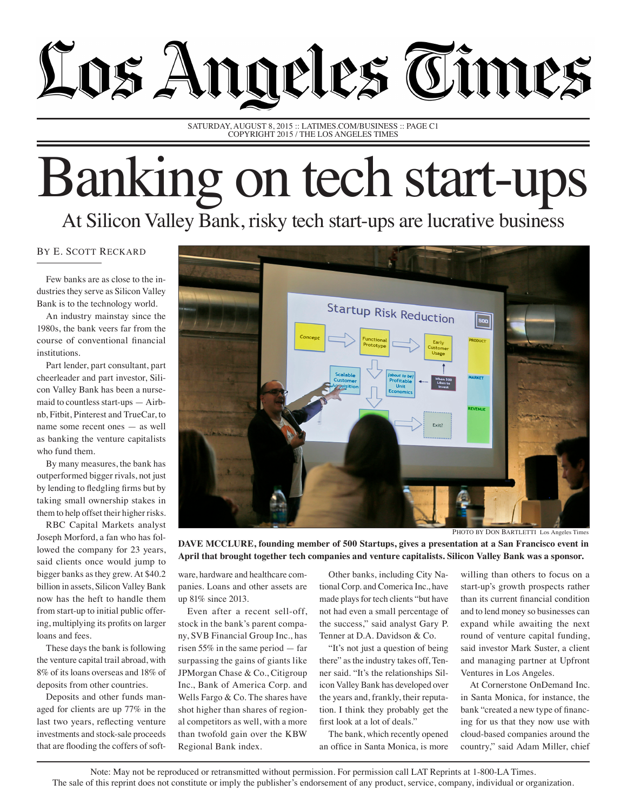## Los Angeles Times

SATURDAY, AUGUST 8, 2015 :: LATIMES.COM/BUSINESS :: PAGE C1 COPYRIGHT 2015 / THE LOS ANGELES TIMES

## Banking on tech start-ups At Silicon Valley Bank, risky tech start-ups are lucrative business

## By E. Scott Reckard

Few banks are as close to the industries they serve as Silicon Valley Bank is to the technology world.

An industry mainstay since the 1980s, the bank veers far from the course of conventional financial institutions.

Part lender, part consultant, part cheerleader and part investor, Silicon Valley Bank has been a nursemaid to countless start-ups — Airbnb, Fitbit, Pinterest and TrueCar, to name some recent ones — as well as banking the venture capitalists who fund them.

By many measures, the bank has outperformed bigger rivals, not just by lending to fledgling firms but by taking small ownership stakes in them to help offset their higher risks.

RBC Capital Markets analyst Joseph Morford, a fan who has followed the company for 23 years, said clients once would jump to bigger banks as they grew. At \$40.2 billion in assets, Silicon Valley Bank now has the heft to handle them from start-up to initial public offering, multiplying its profits on larger loans and fees.

These days the bank is following the venture capital trail abroad, with 8% of its loans overseas and 18% of deposits from other countries.

Deposits and other funds managed for clients are up 77% in the last two years, reflecting venture investments and stock-sale proceeds that are flooding the coffers of soft-



**DAVE MCCLURE, founding member of 500 Startups, gives a presentation at a San Francisco event in April that brought together tech companies and venture capitalists. Silicon Valley Bank was a sponsor.** 

ware, hardware and healthcare companies. Loans and other assets are up 81% since 2013.

Even after a recent sell-off, stock in the bank's parent company, SVB Financial Group Inc., has risen 55% in the same period — far surpassing the gains of giants like JPMorgan Chase & Co., Citigroup Inc., Bank of America Corp. and Wells Fargo & Co. The shares have shot higher than shares of regional competitors as well, with a more than twofold gain over the KBW Regional Bank index.

Other banks, including City National Corp. and Comerica Inc., have made plays for tech clients "but have not had even a small percentage of the success," said analyst Gary P. Tenner at D.A. Davidson & Co.

"It's not just a question of being there" as the industry takes off, Tenner said. "It's the relationships Silicon Valley Bank has developed over the years and, frankly, their reputation. I think they probably get the first look at a lot of deals."

The bank, which recently opened an office in Santa Monica, is more

willing than others to focus on a start-up's growth prospects rather than its current financial condition and to lend money so businesses can expand while awaiting the next round of venture capital funding, said investor Mark Suster, a client and managing partner at Upfront Ventures in Los Angeles.

At Cornerstone OnDemand Inc. in Santa Monica, for instance, the bank "created a new type of financing for us that they now use with cloud-based companies around the country," said Adam Miller, chief

Note: May not be reproduced or retransmitted without permission. For permission call LAT Reprints at 1-800-LA Times. The sale of this reprint does not constitute or imply the publisher's endorsement of any product, service, company, individual or organization.